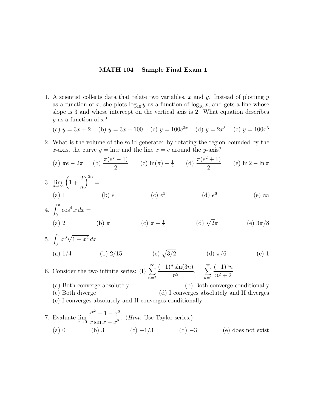## **MATH 104 – Sample Final Exam 1**

1. A scientist collects data that relate two variables, x and y. Instead of plotting  $y$ as a function of x, she plots  $\log_{10} y$  as a function of  $\log_{10} x$ , and gets a line whose slope is 3 and whose intercept on the vertical axis is 2. What equation describes  $y$  as a function of  $x$ ?

(a)  $y = 3x + 2$  (b)  $y = 3x + 100$  (c)  $y = 100e^{3x}$  (d)  $y = 2x^3$  (e)  $y = 100x^3$ 

2. What is the volume of the solid generated by rotating the region bounded by the x-axis, the curve  $y = \ln x$  and the line  $x = e$  around the y-axis?

(a) 
$$
\pi e - 2\pi
$$
 (b)  $\frac{\pi(e^2 - 1)}{2}$  (c)  $\ln(\pi) - \frac{1}{2}$  (d)  $\frac{\pi(e^2 + 1)}{2}$  (e)  $\ln 2 - \ln \pi$ 

3. 
$$
\lim_{n \to \infty} \left(1 + \frac{2}{n}\right)^{3n} =
$$
  
\n(a) 1 \t(b) e \t(c)  $e^5$  \t(d)  $e^6$  \t(e)  $\infty$ 

4.  $\int_0^{\pi} \cos^4 x \, dx =$ (a) 2 (b)  $\pi$  (c)  $\pi - \frac{1}{2}$  (d)  $\sqrt{2}\pi$  (e)  $3\pi/8$ 

5. 
$$
\int_0^1 x^3 \sqrt{1 - x^2} \, dx =
$$
  
\n(a) 1/4 \t(b) 2/15 \t(c)  $\sqrt{3/2}$  \t(d)  $\pi/6$  \t(e) 1

- 6. Consider the two infinite series: (I)  $\sum_{n=1}^{\infty}$  $n=2$  $\frac{(-1)^n \sin(3n)}{n^2}, \quad \sum_{n=1}^{\infty}$  $(-1)^nn$  $n^2 + 2$ 
	- (a)Both converge absolutely (b)Both converge conditionally (c)Both diverge (d)I converges absolutely and II diverges (e)I converges absolutely and II converges conditionally
- 7. Evaluate  $\lim_{x\to 0}$  $e^{x^2} - 1 - x^2$  $\frac{x \sin x - x^2}{x \sin x - x^2}$ . (*Hint*: Use Taylor series.) (a) 0 (b) 3 (c)  $-1/3$  (d)  $-3$  (e) does not exist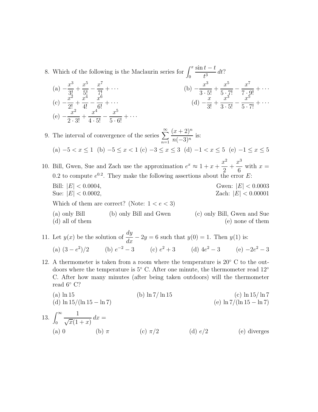- 8. Which of the following is the Maclaurin series for  $\int_0^x$  $\sin t - t$  $\frac{t-t}{t^3} dt?$ 
	- $(a) -\frac{x^3}{3!} +$  $rac{x^5}{5!} - \frac{x^7}{7!} + \cdots$  (b)  $-\frac{x^3}{3 \cdot 5!}$  $\frac{1}{3 \cdot 5!} +$  $rac{x^5}{5 \cdot 7!} - \frac{x^7}{7 \cdot 9!} + \cdots$  $(c) -\frac{x^2}{2!} +$  $\frac{x^4}{4!} - \frac{x^6}{6!} + \cdots$  (d)  $-\frac{x}{3!}$  $\frac{x}{3!} +$  $\frac{x^{3}}{3\cdot 5!} - \frac{x^{5}}{5\cdot 7!} + \cdots$  $(e) - \frac{x^2}{2}$  $\frac{x}{2 \cdot 3!} +$  $\frac{x^4}{4\cdot 5!} - \frac{x^5}{5\cdot 6!} + \cdots$
- 9. The interval of convergence of the series  $\sum^{\infty}$  $n=1$  $(x+2)^n$  $\frac{(x+2)}{n(-3)^n}$  is: (a)  $-5 < x \le 1$  (b)  $-5 \le x < 1$  (c)  $-3 \le x \le 3$  (d)  $-1 < x \le 5$  (e)  $-1 \le x \le 5$ 10. Bill, Gwen, Sue and Zach use the approximation  $e^x \approx 1 + x +$  $x^2$  $x^3$ with  $x =$

 $\frac{1}{2}$  + 6 0.2 to compute  $e^{0.2}$ . They make the following assertions about the error E: Bill:  $|E| < 0.0004$ ,<br>
Sue:  $|E| < 0.0002$ ,<br>
Zach:  $|E| < 0.00001$ Zach:  $|E| < 0.00001$ Which of them are correct? (Note:  $1 < e < 3$ )

- (a)only Bill (b)only Bill and Gwen (c)only Bill, Gwen and Sue (d) all of them (e) none of them (e)
- 11. Let  $y(x)$  be the solution of  $\frac{dy}{dx} 2y = 6$  such that  $y(0) = 1$ . Then  $y(1)$  is: (a)  $(3 - e^2)/2$  (b)  $e^{-2} - 3$  (c)  $e^2 + 3$  (d)  $4e^2 - 3$  (e)  $-2e^2 - 3$
- 12. A thermometer is taken from a room where the temperature is  $20^{\circ}$  C to the outdoors where the temperature is 5◦ C. After one minute, the thermometer read 12◦ C. After how many minutes (after being taken outdoors) will the thermometer read 6◦ C?

(a) ln 15  
\n(b) ln 7/ ln 15  
\n(c) ln 15/ ln 7  
\n(e) ln 7/(ln 15 - ln 7)  
\n13. 
$$
\int_0^\infty \frac{1}{\sqrt{x}(1+x)} dx =
$$
  
\n(a) 0  
\n(b)  $\pi$   
\n(c)  $\pi/2$   
\n(d)  $e/2$   
\n(e) diverges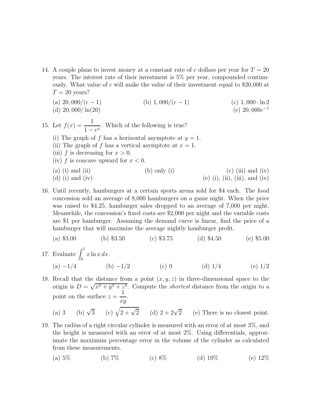14. A couple plans to invest money at a constant rate of c dollars per year for  $T = 20$ years. The interest rate of their investment is 5% per year, compounded continuously. What value of c will make the value of their investment equal to \$20,000 at  $T = 20$  years?

(a) 
$$
20,000/(e-1)
$$
  
\n(b)  $1,000/(e-1)$   
\n(c)  $1,000 \cdot \ln 2$   
\n(e)  $20,000e^{-1}$ 

15. Let  $f(x) = \frac{1}{1}$  $\frac{1}{1 - e^x}$ . Which of the following is true? (i) The graph of f has a horizontal asymptote at  $y = 1$ . (ii) The graph of f has a vertical asymptote at  $x = 1$ . (iii) f is decreasing for  $x > 0$ . (iv) f is concave upward for  $x < 0$ . (a) (i) and (ii) (b) only (i) (c) (iii) and (iv)

16. Until recently, hamburgers at a certain sports arena sold for \$4 each. The food concession sold an average of 8,000 hamburgers on a game night. When the price was raised to \$4.25, hamburger sales dropped to an average of 7,000 per night. Meanwhile, the concession's fixed costs are \$2,000 per night and the variable costs are \$1 per hamburger. Assuming the demand curve is linear, find the price of a hamburger that will maximize the average nightly hamburger profit.

(d) (i) and (iv) (e) (i), (ii), (iii), and (iv)

- (a)  $\$3.00$  (b)  $\$3.50$  (c)  $\$3.75$  (d)  $\$4.50$  (e)  $\$5.00$
- 17. Evaluate  $\int_0^1 x \ln x \, dx$ . (a)  $-1/4$  (b)  $-1/2$  (c) 0 (d)  $1/4$  (e)  $1/2$
- 18. Recall that the distance from a point  $(x, y, z)$  in three-dimensional space to the origin is  $D = \sqrt{x^2 + y^2 + z^2}$ . Compute the *shortest* distance from the origin to a point on the surface  $z = \frac{1}{x}$ . (a) 3 (b)  $\sqrt{3}$  (c)  $\sqrt{2+\sqrt{2}}$  (d)  $2+2\sqrt{2}$  (e) There is no closest point.
- 19. The radius of a right circular cylinder is measured with an error of at most 3%, and the height is measured with an error of at most 2%. Using differentials, approximate the maximum percentage error in the volume of the cylinder as calculated from these measurements.
	- (a)  $5\%$  (b)  $7\%$  (c)  $8\%$  (d)  $10\%$  (e)  $12\%$